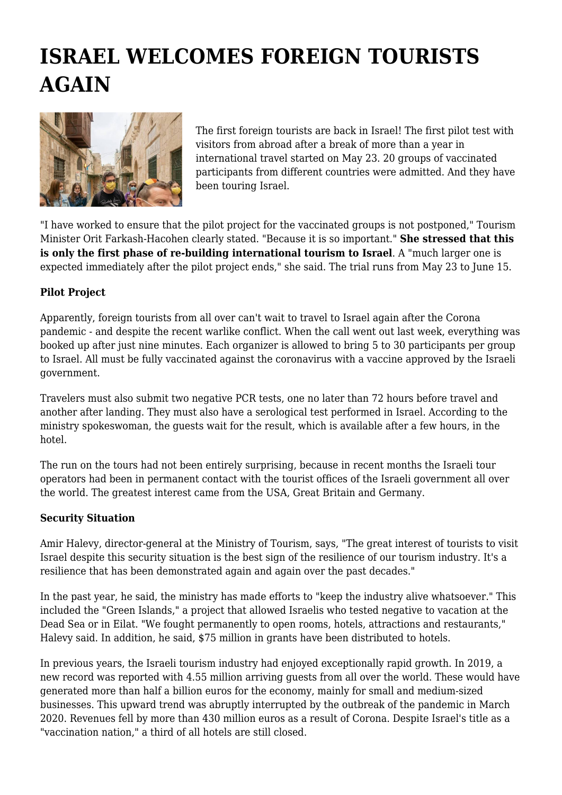## **ISRAEL WELCOMES FOREIGN TOURISTS AGAIN**



The first foreign tourists are back in Israel! The first pilot test with visitors from abroad after a break of more than a year in international travel started on May 23. 20 groups of vaccinated participants from different countries were admitted. And they have been touring Israel.

"I have worked to ensure that the pilot project for the vaccinated groups is not postponed," Tourism Minister Orit Farkash-Hacohen clearly stated. "Because it is so important." **She stressed that this is only the first phase of re-building international tourism to Israel**. A "much larger one is expected immediately after the pilot project ends," she said. The trial runs from May 23 to June 15.

## **Pilot Project**

Apparently, foreign tourists from all over can't wait to travel to Israel again after the Corona pandemic - and despite the recent warlike conflict. When the call went out last week, everything was booked up after just nine minutes. Each organizer is allowed to bring 5 to 30 participants per group to Israel. All must be fully vaccinated against the coronavirus with a vaccine approved by the Israeli government.

Travelers must also submit two negative PCR tests, one no later than 72 hours before travel and another after landing. They must also have a serological test performed in Israel. According to the ministry spokeswoman, the guests wait for the result, which is available after a few hours, in the hotel.

The run on the tours had not been entirely surprising, because in recent months the Israeli tour operators had been in permanent contact with the tourist offices of the Israeli government all over the world. The greatest interest came from the USA, Great Britain and Germany.

## **Security Situation**

Amir Halevy, director-general at the Ministry of Tourism, says, "The great interest of tourists to visit Israel despite this security situation is the best sign of the resilience of our tourism industry. It's a resilience that has been demonstrated again and again over the past decades."

In the past year, he said, the ministry has made efforts to "keep the industry alive whatsoever." This included the "Green Islands," a project that allowed Israelis who tested negative to vacation at the Dead Sea or in Eilat. "We fought permanently to open rooms, hotels, attractions and restaurants," Halevy said. In addition, he said, \$75 million in grants have been distributed to hotels.

In previous years, the Israeli tourism industry had enjoyed exceptionally rapid growth. In 2019, a new record was reported with 4.55 million arriving guests from all over the world. These would have generated more than half a billion euros for the economy, mainly for small and medium-sized businesses. This upward trend was abruptly interrupted by the outbreak of the pandemic in March 2020. Revenues fell by more than 430 million euros as a result of Corona. Despite Israel's title as a "vaccination nation," a third of all hotels are still closed.